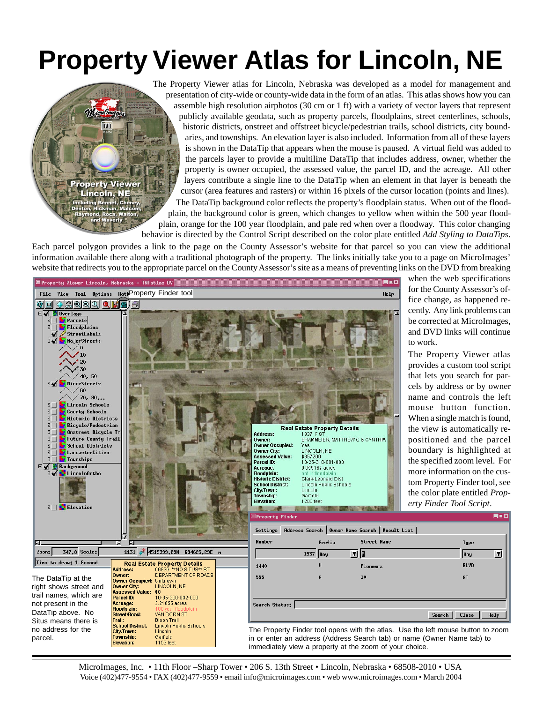## **Property Viewer Atlas for Lincoln, NE**

**DVD** 

**Property Viewer** Lincoln, NE luding Bennet, Chene<br>Iton, Hickman, Malco nd, Roca, Walton<br>Ind Waverly

The Property Viewer atlas for Lincoln, Nebraska was developed as a model for management and presentation of city-wide or county-wide data in the form of an atlas. This atlas shows how you can assemble high resolution airphotos (30 cm or 1 ft) with a variety of vector layers that represent publicly available geodata, such as property parcels, floodplains, street centerlines, schools, historic districts, onstreet and offstreet bicycle/pedestrian trails, school districts, city boundaries, and townships. An elevation layer is also included. Information from all of these layers is shown in the DataTip that appears when the mouse is paused. A virtual field was added to the parcels layer to provide a multiline DataTip that includes address, owner, whether the property is owner occupied, the assessed value, the parcel ID, and the acreage. All other layers contribute a single line to the DataTip when an element in that layer is beneath the cursor (area features and rasters) or within 16 pixels of the cursor location (points and lines). The DataTip background color reflects the property's floodplain status. When out of the flood-

plain, the background color is green, which changes to yellow when within the 500 year floodplain, orange for the 100 year floodplain, and pale red when over a floodway. This color changing behavior is directed by the Control Script described on the color plate entitled *Add Styling to DataTips*.

Each parcel polygon provides a link to the page on the County Assessor's website for that parcel so you can view the additional information available there along with a traditional photograph of the property. The links initially take you to a page on MicroImages' website that redirects you to the appropriate parcel on the County Assessor's site as a means of preventing links on the DVD from breaking